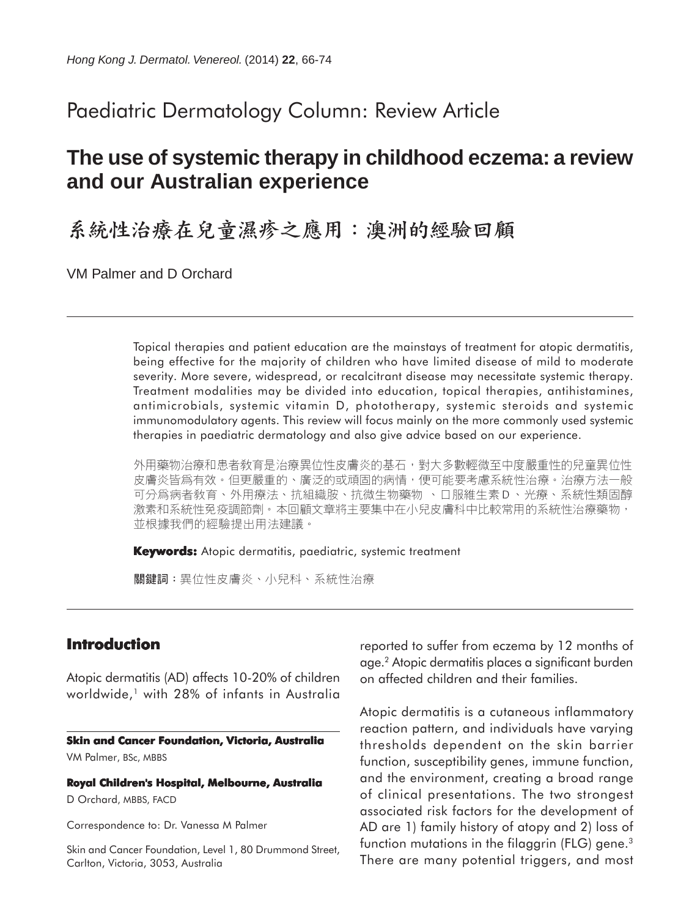# Paediatric Dermatology Column: Review Article

# **The use of systemic therapy in childhood eczema: a review and our Australian experience**

系統性治療在兒童濕疹之應用:澳洲的經驗回顧

VM Palmer and D Orchard

Topical therapies and patient education are the mainstays of treatment for atopic dermatitis, being effective for the majority of children who have limited disease of mild to moderate severity. More severe, widespread, or recalcitrant disease may necessitate systemic therapy. Treatment modalities may be divided into education, topical therapies, antihistamines, antimicrobials, systemic vitamin D, phototherapy, systemic steroids and systemic immunomodulatory agents. This review will focus mainly on the more commonly used systemic therapies in paediatric dermatology and also give advice based on our experience.

外用藥物治療和患者敎育是治療異位性皮膚炎的基石,對大多數輕微至中度嚴重性的兒童異位性 皮膚炎皆爲有效。但更嚴重的、廣泛的或頑固的病情,便可能要考慮系統性治療。治療方法一般 可分爲病者敎育、外用療法、抗組織胺、抗微生物藥物 、口服維生素 D 、光療、系統性類固醇 激素和系統性免疫調節劑。本回顧文章將主要集中在小兒皮膚科中比較常用的系統性治療藥物, 並根據我們的經驗提出用法建議。

**Keywords:** Atopic dermatitis, paediatric, systemic treatment

關鍵詞:異位性皮膚炎、小兒科、系統性治療

# **Introduction**

Atopic dermatitis (AD) affects 10-20% of children worldwide,<sup>1</sup> with 28% of infants in Australia

#### **Skin and Cancer Foundation, Victoria, Australia**

VM Palmer, BSc, MBBS

**Royal Children's Hospital, Melbourne, Australia** D Orchard, MBBS, FACD

Correspondence to: Dr. Vanessa M Palmer

Skin and Cancer Foundation, Level 1, 80 Drummond Street, Carlton, Victoria, 3053, Australia

reported to suffer from eczema by 12 months of age.2 Atopic dermatitis places a significant burden on affected children and their families.

Atopic dermatitis is a cutaneous inflammatory reaction pattern, and individuals have varying thresholds dependent on the skin barrier function, susceptibility genes, immune function, and the environment, creating a broad range of clinical presentations. The two strongest associated risk factors for the development of AD are 1) family history of atopy and 2) loss of function mutations in the filaggrin (FLG) gene.<sup>3</sup> There are many potential triggers, and most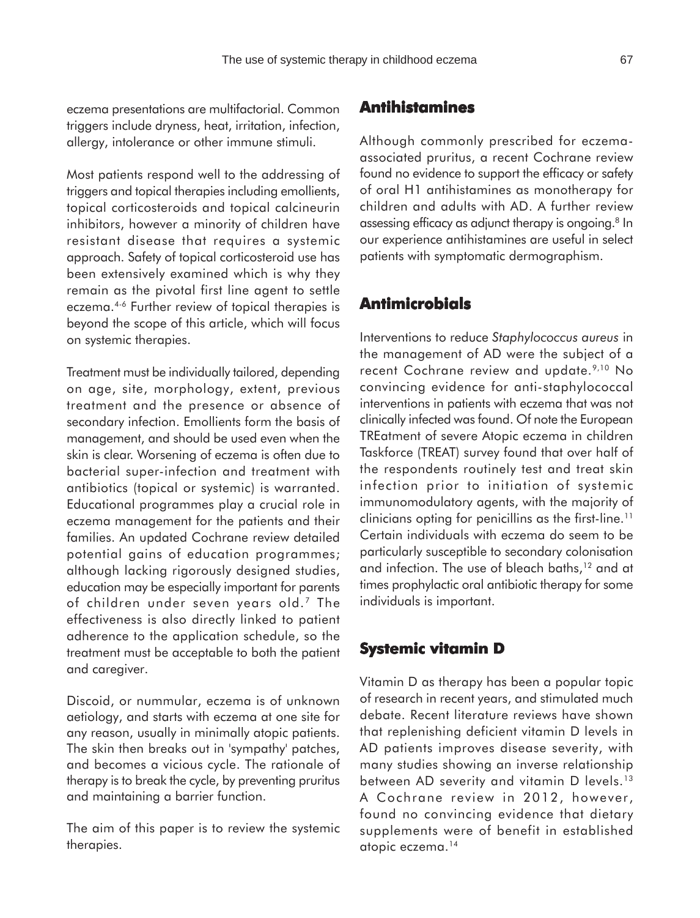**Antihistamines**

eczema presentations are multifactorial. Common triggers include dryness, heat, irritation, infection, allergy, intolerance or other immune stimuli.

Most patients respond well to the addressing of triggers and topical therapies including emollients, topical corticosteroids and topical calcineurin inhibitors, however a minority of children have resistant disease that requires a systemic approach. Safety of topical corticosteroid use has been extensively examined which is why they remain as the pivotal first line agent to settle eczema.4-6 Further review of topical therapies is beyond the scope of this article, which will focus on systemic therapies.

Treatment must be individually tailored, depending on age, site, morphology, extent, previous treatment and the presence or absence of secondary infection. Emollients form the basis of management, and should be used even when the skin is clear. Worsening of eczema is often due to bacterial super-infection and treatment with antibiotics (topical or systemic) is warranted. Educational programmes play a crucial role in eczema management for the patients and their families. An updated Cochrane review detailed potential gains of education programmes; although lacking rigorously designed studies, education may be especially important for parents of children under seven years old.<sup>7</sup> The effectiveness is also directly linked to patient adherence to the application schedule, so the treatment must be acceptable to both the patient and caregiver.

Discoid, or nummular, eczema is of unknown aetiology, and starts with eczema at one site for any reason, usually in minimally atopic patients. The skin then breaks out in 'sympathy' patches, and becomes a vicious cycle. The rationale of therapy is to break the cycle, by preventing pruritus and maintaining a barrier function.

The aim of this paper is to review the systemic therapies.

Although commonly prescribed for eczemaassociated pruritus, a recent Cochrane review found no evidence to support the efficacy or safety of oral H1 antihistamines as monotherapy for children and adults with AD. A further review assessing efficacy as adjunct therapy is ongoing.<sup>8</sup> In our experience antihistamines are useful in select patients with symptomatic dermographism.

## **Antimicrobials**

Interventions to reduce *Staphylococcus aureus* in the management of AD were the subject of a recent Cochrane review and update.<sup>9,10</sup> No convincing evidence for anti-staphylococcal interventions in patients with eczema that was not clinically infected was found. Of note the European TREatment of severe Atopic eczema in children Taskforce (TREAT) survey found that over half of the respondents routinely test and treat skin infection prior to initiation of systemic immunomodulatory agents, with the majority of clinicians opting for penicillins as the first-line.<sup>11</sup> Certain individuals with eczema do seem to be particularly susceptible to secondary colonisation and infection. The use of bleach baths,<sup>12</sup> and at times prophylactic oral antibiotic therapy for some individuals is important.

# **Systemic vitamin D**

Vitamin D as therapy has been a popular topic of research in recent years, and stimulated much debate. Recent literature reviews have shown that replenishing deficient vitamin D levels in AD patients improves disease severity, with many studies showing an inverse relationship between AD severity and vitamin D levels.<sup>13</sup> A Cochrane review in 2012, however, found no convincing evidence that dietary supplements were of benefit in established atopic eczema.14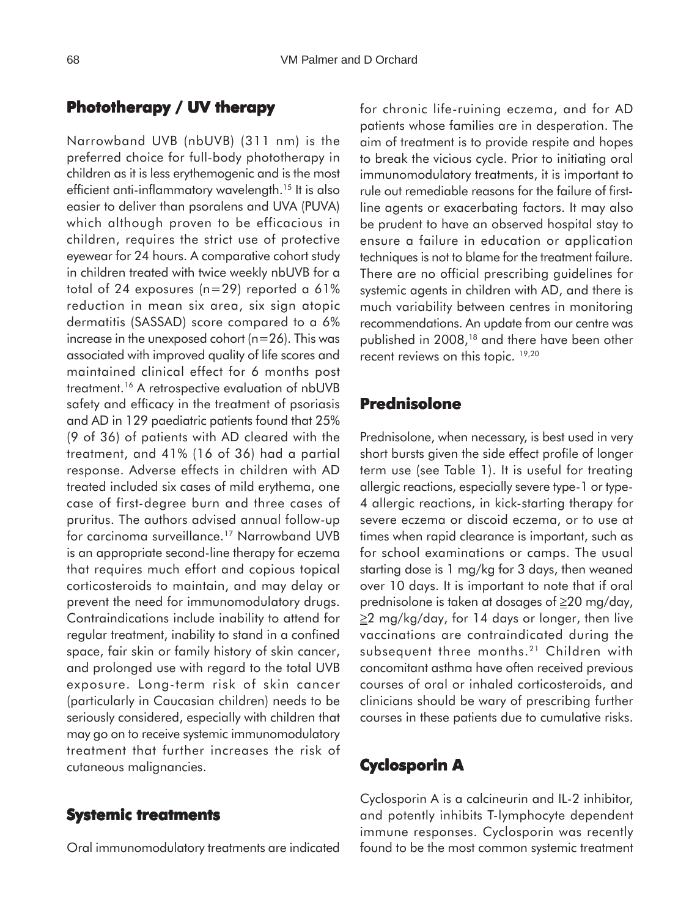## **Phototherapy / UV therapy**

Narrowband UVB (nbUVB) (311 nm) is the preferred choice for full-body phototherapy in children as it is less erythemogenic and is the most efficient anti-inflammatory wavelength.<sup>15</sup> It is also easier to deliver than psoralens and UVA (PUVA) which although proven to be efficacious in children, requires the strict use of protective eyewear for 24 hours. A comparative cohort study in children treated with twice weekly nbUVB for a total of 24 exposures (n=29) reported a 61% reduction in mean six area, six sign atopic dermatitis (SASSAD) score compared to a 6% increase in the unexposed cohort (n=26). This was associated with improved quality of life scores and maintained clinical effect for 6 months post treatment.16 A retrospective evaluation of nbUVB safety and efficacy in the treatment of psoriasis and AD in 129 paediatric patients found that 25% (9 of 36) of patients with AD cleared with the treatment, and 41% (16 of 36) had a partial response. Adverse effects in children with AD treated included six cases of mild erythema, one case of first-degree burn and three cases of pruritus. The authors advised annual follow-up for carcinoma surveillance.17 Narrowband UVB is an appropriate second-line therapy for eczema that requires much effort and copious topical corticosteroids to maintain, and may delay or prevent the need for immunomodulatory drugs. Contraindications include inability to attend for regular treatment, inability to stand in a confined space, fair skin or family history of skin cancer, and prolonged use with regard to the total UVB exposure. Long-term risk of skin cancer (particularly in Caucasian children) needs to be seriously considered, especially with children that may go on to receive systemic immunomodulatory treatment that further increases the risk of cutaneous malignancies.

#### **Systemic treatments**

Oral immunomodulatory treatments are indicated

for chronic life-ruining eczema, and for AD patients whose families are in desperation. The aim of treatment is to provide respite and hopes to break the vicious cycle. Prior to initiating oral immunomodulatory treatments, it is important to rule out remediable reasons for the failure of firstline agents or exacerbating factors. It may also be prudent to have an observed hospital stay to ensure a failure in education or application techniques is not to blame for the treatment failure. There are no official prescribing guidelines for systemic agents in children with AD, and there is much variability between centres in monitoring recommendations. An update from our centre was published in 2008,18 and there have been other recent reviews on this topic. <sup>19,20</sup>

## **Prednisolone**

Prednisolone, when necessary, is best used in very short bursts given the side effect profile of longer term use (see Table 1). It is useful for treating allergic reactions, especially severe type-1 or type-4 allergic reactions, in kick-starting therapy for severe eczema or discoid eczema, or to use at times when rapid clearance is important, such as for school examinations or camps. The usual starting dose is 1 mg/kg for 3 days, then weaned over 10 days. It is important to note that if oral prednisolone is taken at dosages of ≥20 mg/day, ≥2 mg/kg/day, for 14 days or longer, then live vaccinations are contraindicated during the subsequent three months.<sup>21</sup> Children with concomitant asthma have often received previous courses of oral or inhaled corticosteroids, and clinicians should be wary of prescribing further courses in these patients due to cumulative risks.

## **Cyclosporin A**

Cyclosporin A is a calcineurin and IL-2 inhibitor, and potently inhibits T-lymphocyte dependent immune responses. Cyclosporin was recently found to be the most common systemic treatment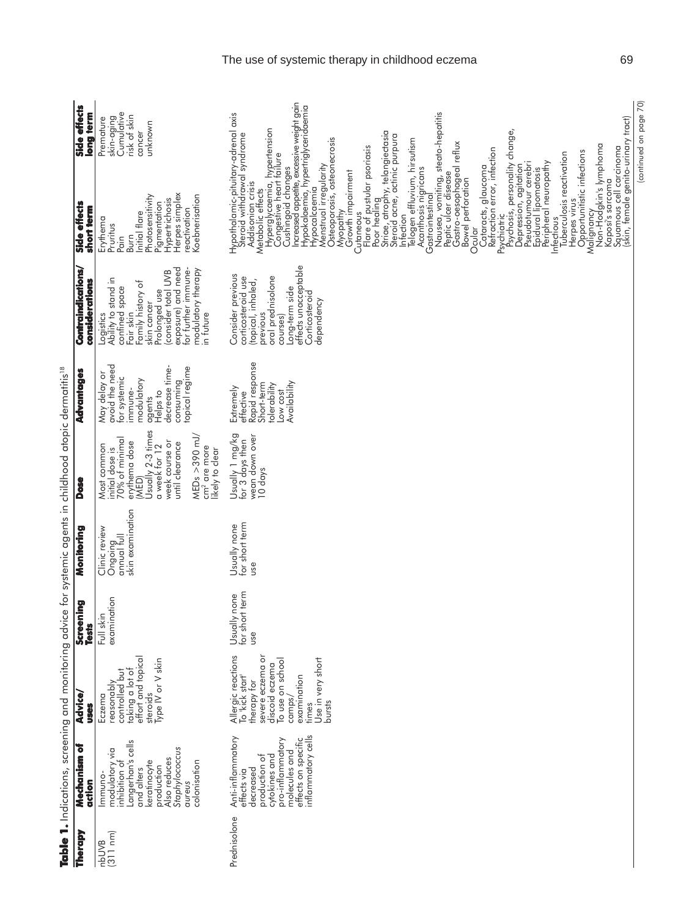| Therapy           | ð<br>Mechanism<br>action                                                                                                                                                | <b>Advice/</b><br>uses                                                                                                                                                         | Screening<br>Tests                       | Monitoring                                                  | <b>Dose</b>                                                                                                                                                                                                            | Advantages                                                                                                                                     | Contraindications/<br>considerations                                                                                                                                                                                       | Side effects<br>short term                                                                                                                                                                                                                                                                                                                                                                                                                                                                                                                                                                                                                                                                                                                                                                                                                                                                                                                                                                                                                                                                                                                                                    | Side effects<br>long term                                                  |
|-------------------|-------------------------------------------------------------------------------------------------------------------------------------------------------------------------|--------------------------------------------------------------------------------------------------------------------------------------------------------------------------------|------------------------------------------|-------------------------------------------------------------|------------------------------------------------------------------------------------------------------------------------------------------------------------------------------------------------------------------------|------------------------------------------------------------------------------------------------------------------------------------------------|----------------------------------------------------------------------------------------------------------------------------------------------------------------------------------------------------------------------------|-------------------------------------------------------------------------------------------------------------------------------------------------------------------------------------------------------------------------------------------------------------------------------------------------------------------------------------------------------------------------------------------------------------------------------------------------------------------------------------------------------------------------------------------------------------------------------------------------------------------------------------------------------------------------------------------------------------------------------------------------------------------------------------------------------------------------------------------------------------------------------------------------------------------------------------------------------------------------------------------------------------------------------------------------------------------------------------------------------------------------------------------------------------------------------|----------------------------------------------------------------------------|
| (311 nm)<br>nbUVB | Langerhan's cells<br>Staphylococcus<br>modulatory via<br>inhibition of<br>Also reduces<br>keratinocyte<br>colonisation<br>production<br>and alters<br>Immuno-<br>aureus | effort and topical<br>steroids<br>Type IV or V skin<br>taking a lot of<br>controlled but<br>reasonably<br>Eczema                                                               | examination<br>$\frac{1}{2}$<br>$Ful$ sl | skin examination<br>Clinic review<br>Ongoing<br>annual full | Jsually 2-3 times<br>MEDs $>390$ mJ/<br>70% of minimal<br>week course or<br>erythema dose<br>until clearance<br>Most common<br>a week for 12<br>cm <sup>2</sup> are more<br>initial dose is<br>ikely to clear<br>(MED) | May delay or<br>avoid the need<br>decrease time-<br>topical regime<br>for systemic<br>modulatory<br>consuming<br>immune-<br>Helps to<br>agents | for further immune-<br>exposure) and need<br>modulatory therapy<br>consider total UVB<br>Logistics<br>Ability to stand in<br>Family history of<br>confined space<br>Prolonged use<br>skin cancer<br>Fair skin<br>in tuture | Herpes simplex<br>Koebnerisation<br>Photosensitivity<br>Hypertrichosis<br>Pigmentation<br>reactivation<br>nitial flare<br>Erythema<br>Pruritus<br>Burn<br>Pain                                                                                                                                                                                                                                                                                                                                                                                                                                                                                                                                                                                                                                                                                                                                                                                                                                                                                                                                                                                                                | Cumulative<br>risk of skin<br>skin-aging<br>Premature<br>unknown<br>cancer |
| Prednisolone      | inflammatory cells<br>Anti-inflammatory<br>effects on specific<br>pro-inflammatory<br>molecules and<br>cytokines and<br>production of<br>decreased<br>effects via       | Allergic reactions<br>To 'kick start'<br>therapy for<br>severe eczema or<br>Use in very short<br>To use on school<br>discoid eczema<br>examination<br>camps/<br>bursts<br>hmes | for short term<br>Usually none<br>use    | for short term<br>Usually none<br>use                       | Usually 1 mg/kg<br>wean down over<br>for 3 days then<br>10 days                                                                                                                                                        | Rapid response<br>Low cost<br>Availability<br>Short-term<br>tolerability<br>Extremely<br>effective                                             | effects unacceptable<br>Consider previous<br>oral prednisolone<br>corticosteroid use<br>(topical, inhaled,<br>Long-term side<br>Corticosteroid<br>dependency<br>previous<br>courses)                                       | Cushingoid changes<br>Increased appetite, excessive weight gain<br>Hypokalaemia, hypertriglyceridaemia<br>Nausea, vomiting, steato-hepatitis<br>Peptic ulcer disease<br>Hypothalamic-pituitary-adrenal axis<br>Steroid withdrawal syndrome<br>(skin, female genito-urinary tract)<br>Hyperglycaemia, hypertension<br>Congestive heart failure<br>Psychosis, personality change,<br>Poor heding<br>Striae, atrophy, telangiectasia<br>Steroid acne, actinic purpura<br>Osteoporosis, osteonecrosis<br>Telogen effluvium, hirsutism<br>Acanthosis nigricans<br>Gastro-oesophageal reflux<br>Non-Hodgkin's lymphoma<br>Cutaneous<br>Flare of pustular psoriasis<br>Squamous cell carcinoma<br>Refraction error, infection<br>Opportunitistic infections<br>Tuberculosis reactivation<br>Pseudotumour cerebri<br>Peripheral neuropathy<br>Menstrual irregularity<br>Dépression, agitation<br>Cataracts, glaucoma<br>Epidural lipomatosis<br>Myopathy<br>Growth impairment<br>Bowel perforation<br>Kaposi's sarcoma<br>Addisonian crisis<br>Hypocalcaemia<br>Metabolic effects<br>Gastrointestina<br>Herpes virus<br>Malignancy<br>nfection<br>Psychiatric<br>Infectious<br>Ocular |                                                                            |
|                   |                                                                                                                                                                         |                                                                                                                                                                                |                                          |                                                             |                                                                                                                                                                                                                        |                                                                                                                                                |                                                                                                                                                                                                                            |                                                                                                                                                                                                                                                                                                                                                                                                                                                                                                                                                                                                                                                                                                                                                                                                                                                                                                                                                                                                                                                                                                                                                                               | (continued on page 70)                                                     |

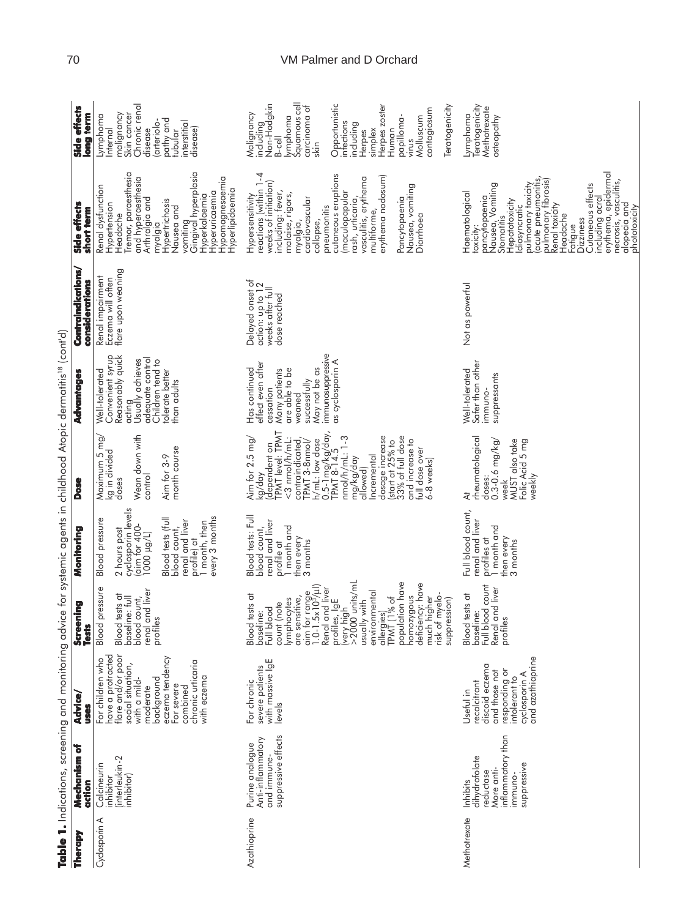natitie<sup>18</sup> (cont<sup>1</sup>d) in childhood Atopic de  $\cdot$  $\frac{1}{2}$ 

# 70 VM Palmer and D Orchard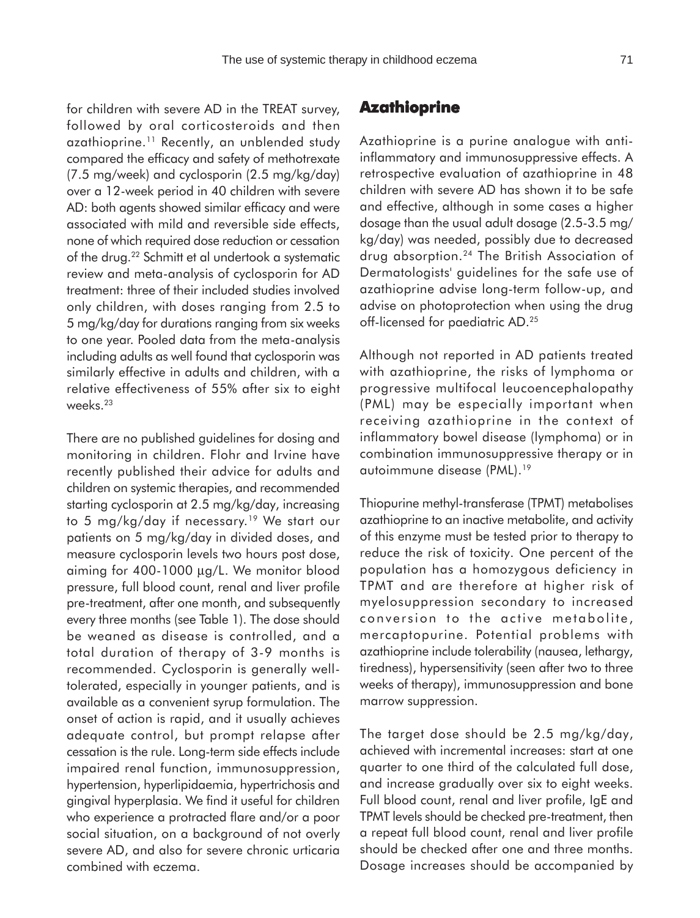for children with severe AD in the TREAT survey, followed by oral corticosteroids and then azathioprine.<sup>11</sup> Recently, an unblended study compared the efficacy and safety of methotrexate (7.5 mg/week) and cyclosporin (2.5 mg/kg/day) over a 12-week period in 40 children with severe AD: both agents showed similar efficacy and were associated with mild and reversible side effects, none of which required dose reduction or cessation of the drug.22 Schmitt et al undertook a systematic review and meta-analysis of cyclosporin for AD treatment: three of their included studies involved only children, with doses ranging from 2.5 to 5 mg/kg/day for durations ranging from six weeks to one year. Pooled data from the meta-analysis including adults as well found that cyclosporin was similarly effective in adults and children, with a relative effectiveness of 55% after six to eight weeks.23

There are no published guidelines for dosing and monitoring in children. Flohr and Irvine have recently published their advice for adults and children on systemic therapies, and recommended starting cyclosporin at 2.5 mg/kg/day, increasing to 5 mg/kg/day if necessary.19 We start our patients on 5 mg/kg/day in divided doses, and measure cyclosporin levels two hours post dose, aiming for 400-1000 µg/L. We monitor blood pressure, full blood count, renal and liver profile pre-treatment, after one month, and subsequently every three months (see Table 1). The dose should be weaned as disease is controlled, and a total duration of therapy of 3-9 months is recommended. Cyclosporin is generally welltolerated, especially in younger patients, and is available as a convenient syrup formulation. The onset of action is rapid, and it usually achieves adequate control, but prompt relapse after cessation is the rule. Long-term side effects include impaired renal function, immunosuppression, hypertension, hyperlipidaemia, hypertrichosis and gingival hyperplasia. We find it useful for children who experience a protracted flare and/or a poor social situation, on a background of not overly severe AD, and also for severe chronic urticaria combined with eczema.

## **Azathioprine**

Azathioprine is a purine analogue with antiinflammatory and immunosuppressive effects. A retrospective evaluation of azathioprine in 48 children with severe AD has shown it to be safe and effective, although in some cases a higher dosage than the usual adult dosage (2.5-3.5 mg/ kg/day) was needed, possibly due to decreased drug absorption.24 The British Association of Dermatologists' guidelines for the safe use of azathioprine advise long-term follow-up, and advise on photoprotection when using the drug off-licensed for paediatric AD.25

Although not reported in AD patients treated with azathioprine, the risks of lymphoma or progressive multifocal leucoencephalopathy (PML) may be especially important when receiving azathioprine in the context of inflammatory bowel disease (lymphoma) or in combination immunosuppressive therapy or in autoimmune disease (PML).19

Thiopurine methyl-transferase (TPMT) metabolises azathioprine to an inactive metabolite, and activity of this enzyme must be tested prior to therapy to reduce the risk of toxicity. One percent of the population has a homozygous deficiency in TPMT and are therefore at higher risk of myelosuppression secondary to increased conversion to the active metabolite, mercaptopurine. Potential problems with azathioprine include tolerability (nausea, lethargy, tiredness), hypersensitivity (seen after two to three weeks of therapy), immunosuppression and bone marrow suppression.

The target dose should be 2.5 mg/kg/day, achieved with incremental increases: start at one quarter to one third of the calculated full dose, and increase gradually over six to eight weeks. Full blood count, renal and liver profile, IgE and TPMT levels should be checked pre-treatment, then a repeat full blood count, renal and liver profile should be checked after one and three months. Dosage increases should be accompanied by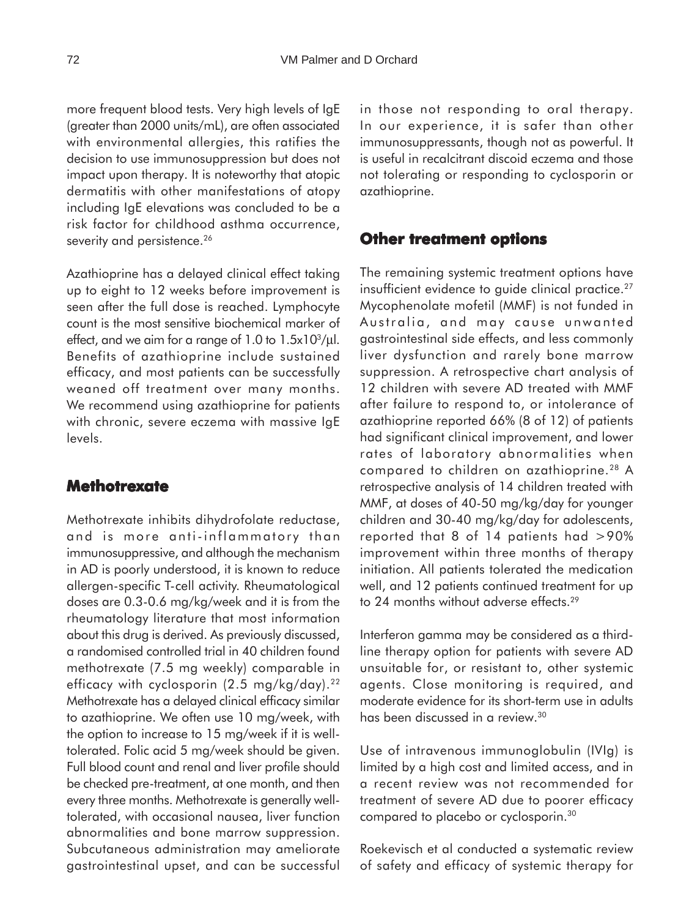more frequent blood tests. Very high levels of IgE (greater than 2000 units/mL), are often associated with environmental allergies, this ratifies the decision to use immunosuppression but does not impact upon therapy. It is noteworthy that atopic dermatitis with other manifestations of atopy including IgE elevations was concluded to be a risk factor for childhood asthma occurrence, severity and persistence.<sup>26</sup>

Azathioprine has a delayed clinical effect taking up to eight to 12 weeks before improvement is seen after the full dose is reached. Lymphocyte count is the most sensitive biochemical marker of effect, and we aim for a range of  $1.0$  to  $1.5x10^3/\mu$ . Benefits of azathioprine include sustained efficacy, and most patients can be successfully weaned off treatment over many months. We recommend using azathioprine for patients with chronic, severe eczema with massive IgE levels.

#### **Methotrexate**

Methotrexate inhibits dihydrofolate reductase, and is more anti-inflammatory than immunosuppressive, and although the mechanism in AD is poorly understood, it is known to reduce allergen-specific T-cell activity. Rheumatological doses are 0.3-0.6 mg/kg/week and it is from the rheumatology literature that most information about this drug is derived. As previously discussed, a randomised controlled trial in 40 children found methotrexate (7.5 mg weekly) comparable in efficacy with cyclosporin (2.5 mg/kg/day).<sup>22</sup> Methotrexate has a delayed clinical efficacy similar to azathioprine. We often use 10 mg/week, with the option to increase to 15 mg/week if it is welltolerated. Folic acid 5 mg/week should be given. Full blood count and renal and liver profile should be checked pre-treatment, at one month, and then every three months. Methotrexate is generally welltolerated, with occasional nausea, liver function abnormalities and bone marrow suppression. Subcutaneous administration may ameliorate gastrointestinal upset, and can be successful in those not responding to oral therapy. In our experience, it is safer than other immunosuppressants, though not as powerful. It is useful in recalcitrant discoid eczema and those not tolerating or responding to cyclosporin or azathioprine.

#### **Other treatment options**

The remaining systemic treatment options have insufficient evidence to guide clinical practice.<sup>27</sup> Mycophenolate mofetil (MMF) is not funded in Australia, and may cause unwanted gastrointestinal side effects, and less commonly liver dysfunction and rarely bone marrow suppression. A retrospective chart analysis of 12 children with severe AD treated with MMF after failure to respond to, or intolerance of azathioprine reported 66% (8 of 12) of patients had significant clinical improvement, and lower rates of laboratory abnormalities when compared to children on azathioprine.28 A retrospective analysis of 14 children treated with MMF, at doses of 40-50 mg/kg/day for younger children and 30-40 mg/kg/day for adolescents, reported that 8 of 14 patients had >90% improvement within three months of therapy initiation. All patients tolerated the medication well, and 12 patients continued treatment for up to 24 months without adverse effects.<sup>29</sup>

Interferon gamma may be considered as a thirdline therapy option for patients with severe AD unsuitable for, or resistant to, other systemic agents. Close monitoring is required, and moderate evidence for its short-term use in adults has been discussed in a review.<sup>30</sup>

Use of intravenous immunoglobulin (IVIg) is limited by a high cost and limited access, and in a recent review was not recommended for treatment of severe AD due to poorer efficacy compared to placebo or cyclosporin.30

Roekevisch et al conducted a systematic review of safety and efficacy of systemic therapy for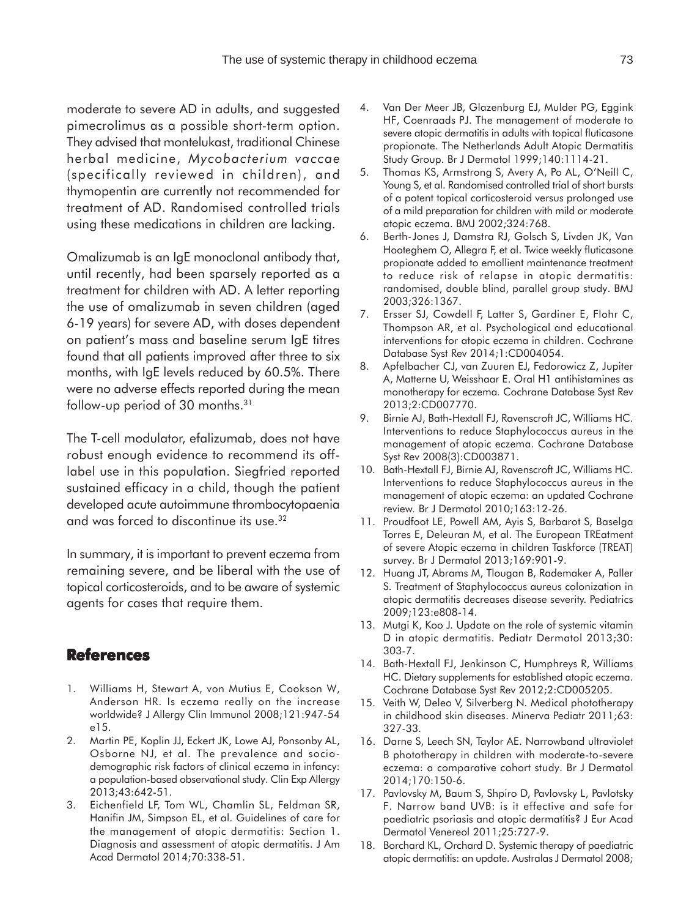moderate to severe AD in adults, and suggested pimecrolimus as a possible short-term option. They advised that montelukast, traditional Chinese herbal medicine, *Mycobacterium vaccae* (specifically reviewed in children), and thymopentin are currently not recommended for treatment of AD. Randomised controlled trials using these medications in children are lacking.

Omalizumab is an IgE monoclonal antibody that, until recently, had been sparsely reported as a treatment for children with AD. A letter reporting the use of omalizumab in seven children (aged 6-19 years) for severe AD, with doses dependent on patient's mass and baseline serum IgE titres found that all patients improved after three to six months, with IgE levels reduced by 60.5%. There were no adverse effects reported during the mean follow-up period of 30 months.31

The T-cell modulator, efalizumab, does not have robust enough evidence to recommend its offlabel use in this population. Siegfried reported sustained efficacy in a child, though the patient developed acute autoimmune thrombocytopaenia and was forced to discontinue its use.32

In summary, it is important to prevent eczema from remaining severe, and be liberal with the use of topical corticosteroids, and to be aware of systemic agents for cases that require them.

#### **References**

- 1. Williams H, Stewart A, von Mutius E, Cookson W, Anderson HR. Is eczema really on the increase worldwide? J Allergy Clin Immunol 2008;121:947-54 e15.
- 2. Martin PE, Koplin JJ, Eckert JK, Lowe AJ, Ponsonby AL, Osborne NJ, et al. The prevalence and sociodemographic risk factors of clinical eczema in infancy: a population-based observational study. Clin Exp Allergy 2013;43:642-51.
- 3. Eichenfield LF, Tom WL, Chamlin SL, Feldman SR, Hanifin JM, Simpson EL, et al. Guidelines of care for the management of atopic dermatitis: Section 1. Diagnosis and assessment of atopic dermatitis. J Am Acad Dermatol 2014;70:338-51.
- 4. Van Der Meer JB, Glazenburg EJ, Mulder PG, Eggink HF, Coenraads PJ. The management of moderate to severe atopic dermatitis in adults with topical fluticasone propionate. The Netherlands Adult Atopic Dermatitis Study Group. Br J Dermatol 1999;140:1114-21.
- 5. Thomas KS, Armstrong S, Avery A, Po AL, O'Neill C, Young S, et al. Randomised controlled trial of short bursts of a potent topical corticosteroid versus prolonged use of a mild preparation for children with mild or moderate atopic eczema. BMJ 2002;324:768.
- 6. Berth-Jones J, Damstra RJ, Golsch S, Livden JK, Van Hooteghem O, Allegra F, et al. Twice weekly fluticasone propionate added to emollient maintenance treatment to reduce risk of relapse in atopic dermatitis: randomised, double blind, parallel group study. BMJ 2003;326:1367.
- 7. Ersser SJ, Cowdell F, Latter S, Gardiner E, Flohr C, Thompson AR, et al. Psychological and educational interventions for atopic eczema in children. Cochrane Database Syst Rev 2014;1:CD004054.
- 8. Apfelbacher CJ, van Zuuren EJ, Fedorowicz Z, Jupiter A, Matterne U, Weisshaar E. Oral H1 antihistamines as monotherapy for eczema*.* Cochrane Database Syst Rev 2013;2:CD007770.
- 9. Birnie AJ, Bath-Hextall FJ, Ravenscroft JC, Williams HC. Interventions to reduce Staphylococcus aureus in the management of atopic eczema. Cochrane Database Syst Rev 2008(3):CD003871.
- 10. Bath-Hextall FJ, Birnie AJ, Ravenscroft JC, Williams HC. Interventions to reduce Staphylococcus aureus in the management of atopic eczema: an updated Cochrane review*.* Br J Dermatol 2010;163:12-26.
- 11. Proudfoot LE, Powell AM, Ayis S, Barbarot S, Baselga Torres E, Deleuran M, et al. The European TREatment of severe Atopic eczema in children Taskforce (TREAT) survey. Br J Dermatol 2013;169:901-9.
- 12. Huang JT, Abrams M, Tlougan B, Rademaker A, Paller S. Treatment of Staphylococcus aureus colonization in atopic dermatitis decreases disease severity. Pediatrics 2009;123:e808-14.
- 13. Mutgi K, Koo J. Update on the role of systemic vitamin D in atopic dermatitis. Pediatr Dermatol 2013;30: 303-7.
- 14. Bath-Hextall FJ, Jenkinson C, Humphreys R, Williams HC. Dietary supplements for established atopic eczema. Cochrane Database Syst Rev 2012;2:CD005205.
- 15. Veith W, Deleo V, Silverberg N. Medical phototherapy in childhood skin diseases. Minerva Pediatr 2011;63: 327-33.
- 16. Darne S, Leech SN, Taylor AE. Narrowband ultraviolet B phototherapy in children with moderate-to-severe eczema: a comparative cohort study. Br J Dermatol 2014;170:150-6.
- 17. Pavlovsky M, Baum S, Shpiro D, Pavlovsky L, Pavlotsky F. Narrow band UVB: is it effective and safe for paediatric psoriasis and atopic dermatitis? J Eur Acad Dermatol Venereol 2011;25:727-9.
- 18. Borchard KL, Orchard D. Systemic therapy of paediatric atopic dermatitis: an update. Australas J Dermatol 2008;